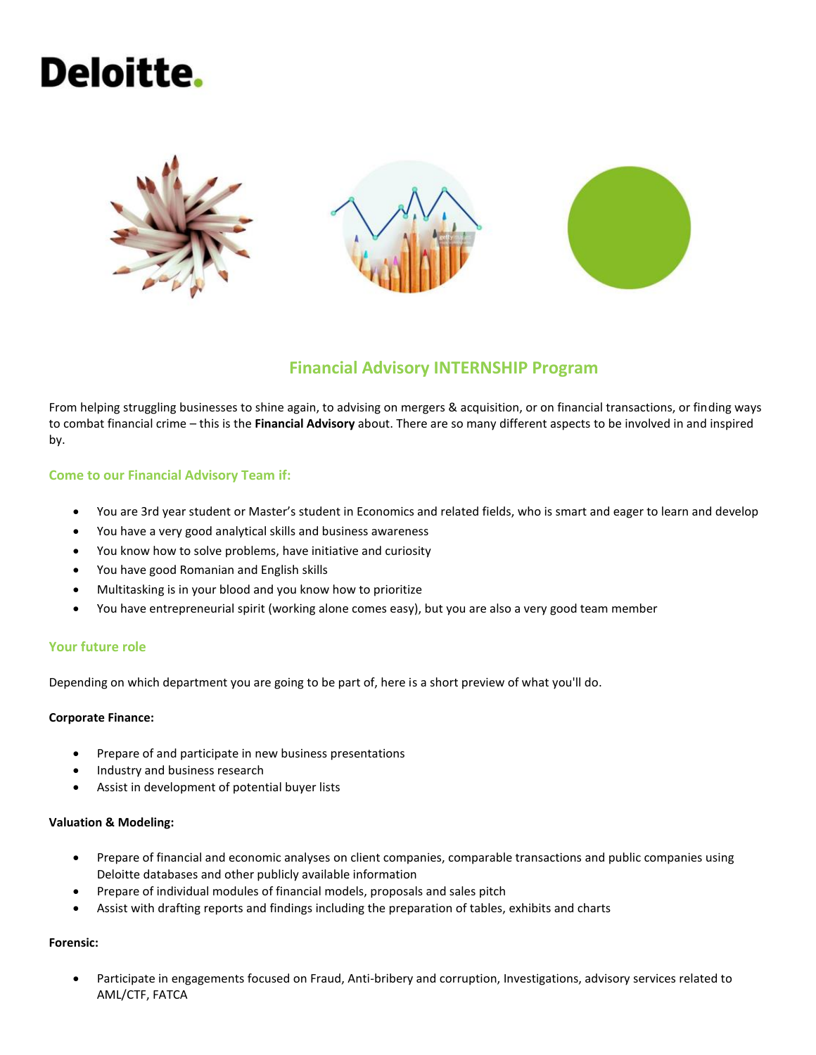# Deloitte.



## **Financial Advisory INTERNSHIP Program**

From helping struggling businesses to shine again, to advising on mergers & acquisition, or on financial transactions, or finding ways to combat financial crime – this is the **Financial Advisory** about. There are so many different aspects to be involved in and inspired by.

#### **Come to our Financial Advisory Team if:**

- You are 3rd year student or Master's student in Economics and related fields, who is smart and eager to learn and develop
- You have a very good analytical skills and business awareness
- You know how to solve problems, have initiative and curiosity
- You have good Romanian and English skills
- Multitasking is in your blood and you know how to prioritize
- You have entrepreneurial spirit (working alone comes easy), but you are also a very good team member

#### **Your future role**

Depending on which department you are going to be part of, here is a short preview of what you'll do.

#### **Corporate Finance:**

- Prepare of and participate in new business presentations
- Industry and business research
- Assist in development of potential buyer lists

#### **Valuation & Modeling:**

- Prepare of financial and economic analyses on client companies, comparable transactions and public companies using Deloitte databases and other publicly available information
- Prepare of individual modules of financial models, proposals and sales pitch
- Assist with drafting reports and findings including the preparation of tables, exhibits and charts

#### **Forensic:**

• Participate in engagements focused on Fraud, Anti-bribery and corruption, Investigations, advisory services related to AML/CTF, FATCA